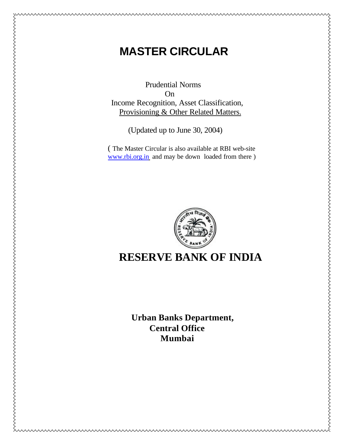# **MASTER CIRCULAR**

Prudential Norms On Income Recognition, Asset Classification, Provisioning & Other Related Matters.

(Updated up to June 30, 2004)

 ( The Master Circular is also available at RBI web-site www.rbi.org.in and may be down loaded from there )



## **RESERVE BANK OF INDIA**

**Urban Banks Department, Central Office Mumbai**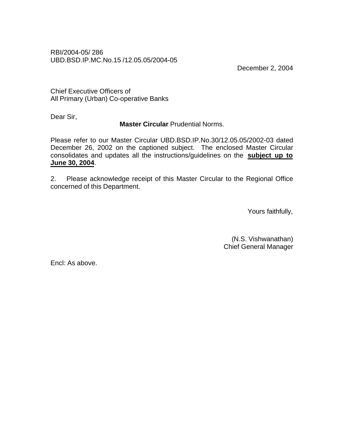RBI/2004-05/ 286 UBD.BSD.IP.MC.No.15 /12.05.05/2004-05

December 2, 2004

Chief Executive Officers of All Primary (Urban) Co-operative Banks

Dear Sir,

### **Master Circular** Prudential Norms.

Please refer to our Master Circular UBD.BSD.IP.No.30/12.05.05/2002-03 dated December 26, 2002 on the captioned subject. The enclosed Master Circular consolidates and updates all the instructions/guidelines on the **subject up to June 30, 2004**.

2. Please acknowledge receipt of this Master Circular to the Regional Office concerned of this Department.

Yours faithfully,

(N.S. Vishwanathan) Chief General Manager

Encl: As above.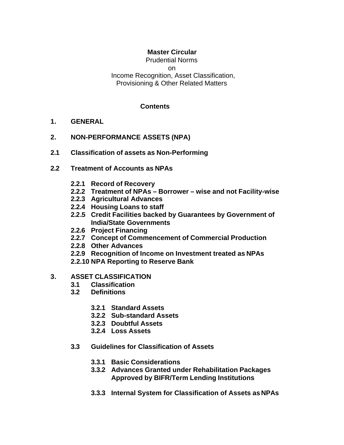## **Master Circular**

Prudential Norms on Income Recognition, Asset Classification, Provisioning & Other Related Matters

#### **Contents**

- **1. GENERAL**
- **2. NON-PERFORMANCE ASSETS (NPA)**
- **2.1 Classification of assets as Non-Performing**
- **2.2 Treatment of Accounts as NPAs**
	- **2.2.1 Record of Recovery**
	- **2.2.2 Treatment of NPAs Borrower wise and not Facility-wise**
	- **2.2.3 Agricultural Advances**
	- **2.2.4 Housing Loans to staff**
	- **2.2.5 Credit Facilities backed by Guarantees by Government of India/State Governments**
	- **2.2.6 Project Financing**
	- **2.2.7 Concept of Commencement of Commercial Production**
	- **2.2.8 Other Advances**
	- **2.2.9 Recognition of Income on Investment treated as NPAs**
	- **2.2.10 NPA Reporting to Reserve Bank**

#### **3. ASSET CLASSIFICATION**

- **3.1 Classification**
- **3.2 Definitions**
	- **3.2.1 Standard Assets**
	- **3.2.2 Sub-standard Assets**
	- **3.2.3 Doubtful Assets**
	- **3.2.4 Loss Assets**
- **3.3 Guidelines for Classification of Assets**
	- **3.3.1 Basic Considerations**
	- **3.3.2 Advances Granted under Rehabilitation Packages Approved by BIFR/Term Lending Institutions**
	- **3.3.3 Internal System for Classification of Assets as NPAs**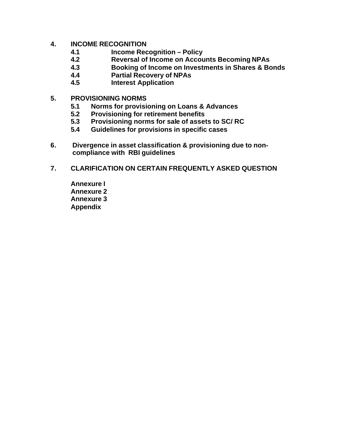#### **4. INCOME RECOGNITION**

- **4.1 Income Recognition Policy**
- **4.2 Reversal of Income on Accounts Becoming NPAs**
- **4.3 Booking of Income on Investments in Shares & Bonds**
- **4.4 Partial Recovery of NPAs**
- **4.5 Interest Application**
- **5. PROVISIONING NORMS**
	- **5.1 Norms for provisioning on Loans & Advances**
	- **5.2 Provisioning for retirement benefits**
	- **5.3 Provisioning norms for sale of assets to SC/ RC**
	- **5.4 Guidelines for provisions in specific cases**
- **6. Divergence in asset classification & provisioning due to noncompliance with RBI guidelines**
- **7. CLARIFICATION ON CERTAIN FREQUENTLY ASKED QUESTION**
	- **Annexure I Annexure 2 Annexure 3 Appendix**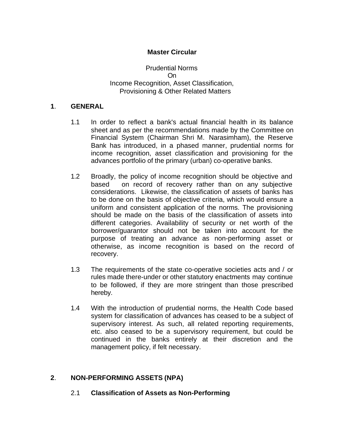### **Master Circular**

Prudential Norms On Income Recognition, Asset Classification, Provisioning & Other Related Matters

#### **1**. **GENERAL**

- 1.1 In order to reflect a bank's actual financial health in its balance sheet and as per the recommendations made by the Committee on Financial System (Chairman Shri M. Narasimham), the Reserve Bank has introduced, in a phased manner, prudential norms for income recognition, asset classification and provisioning for the advances portfolio of the primary (urban) co-operative banks.
- 1.2 Broadly, the policy of income recognition should be objective and based on record of recovery rather than on any subjective considerations. Likewise, the classification of assets of banks has to be done on the basis of objective criteria, which would ensure a uniform and consistent application of the norms. The provisioning should be made on the basis of the classification of assets into different categories. Availability of security or net worth of the borrower/guarantor should not be taken into account for the purpose of treating an advance as non-performing asset or otherwise, as income recognition is based on the record of recovery.
- 1.3 The requirements of the state co-operative societies acts and / or rules made there-under or other statutory enactments may continue to be followed, if they are more stringent than those prescribed hereby.
- 1.4 With the introduction of prudential norms, the Health Code based system for classification of advances has ceased to be a subject of supervisory interest. As such, all related reporting requirements, etc. also ceased to be a supervisory requirement, but could be continued in the banks entirely at their discretion and the management policy, if felt necessary.

## **2**. **NON-PERFORMING ASSETS (NPA)**

2.1 **Classification of Assets as Non-Performing**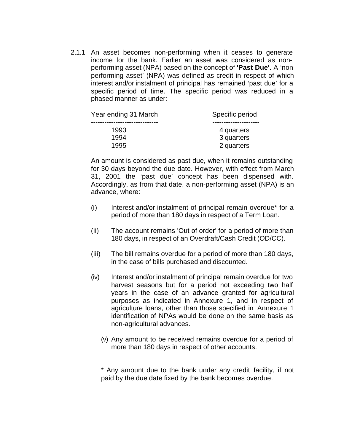2.1.1 An asset becomes non-performing when it ceases to generate income for the bank. Earlier an asset was considered as nonperforming asset (NPA) based on the concept of **'Past Due'**. A 'non performing asset' (NPA) was defined as credit in respect of which interest and/or instalment of principal has remained 'past due' for a specific period of time. The specific period was reduced in a phased manner as under:

| Year ending 31 March | Specific period          |
|----------------------|--------------------------|
| 1993                 | 4 quarters               |
| 1994<br>1995         | 3 quarters<br>2 quarters |
|                      |                          |

An amount is considered as past due, when it remains outstanding for 30 days beyond the due date. However, with effect from March 31, 2001 the 'past due' concept has been dispensed with. Accordingly, as from that date, a non-performing asset (NPA) is an advance, where:

- (i) Interest and/or instalment of principal remain overdue\* for a period of more than 180 days in respect of a Term Loan.
- (ii) The account remains 'Out of order' for a period of more than 180 days, in respect of an Overdraft/Cash Credit (OD/CC).
- (iii) The bill remains overdue for a period of more than 180 days, in the case of bills purchased and discounted.
- (iv) Interest and/or instalment of principal remain overdue for two harvest seasons but for a period not exceeding two half years in the case of an advance granted for agricultural purposes as indicated in Annexure 1, and in respect of agriculture loans, other than those specified in Annexure 1 identification of NPAs would be done on the same basis as non-agricultural advances.
	- (v) Any amount to be received remains overdue for a period of more than 180 days in respect of other accounts.

\* Any amount due to the bank under any credit facility, if not paid by the due date fixed by the bank becomes overdue.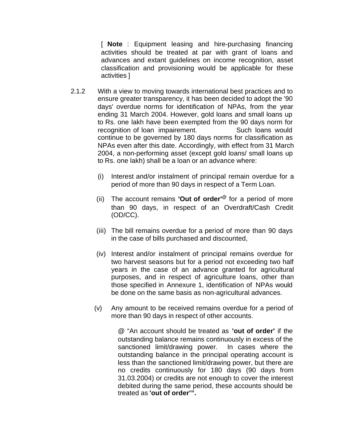[ **Note** : Equipment leasing and hire-purchasing financing activities should be treated at par with grant of loans and advances and extant guidelines on income recognition, asset classification and provisioning would be applicable for these activities ]

- 2.1.2 With a view to moving towards international best practices and to ensure greater transparency, it has been decided to adopt the '90 days' overdue norms for identification of NPAs, from the year ending 31 March 2004. However, gold loans and small loans up to Rs. one lakh have been exempted from the 90 days norm for recognition of loan impairement. Such loans would continue to be governed by 180 days norms for classification as NPAs even after this date. Accordingly, with effect from 31 March 2004, a non-performing asset (except gold loans/ small loans up to Rs. one lakh) shall be a loan or an advance where:
	- (i) Interest and/or instalment of principal remain overdue for a period of more than 90 days in respect of a Term Loan.
	- (ii) The account remains **'Out of order'@** for a period of more than 90 days, in respect of an Overdraft/Cash Credit (OD/CC).
	- (iii) The bill remains overdue for a period of more than 90 days in the case of bills purchased and discounted,
	- (iv) Interest and/or instalment of principal remains overdue for two harvest seasons but for a period not exceeding two half years in the case of an advance granted for agricultural purposes, and in respect of agriculture loans, other than those specified in Annexure 1, identification of NPAs would be done on the same basis as non-agricultural advances.
	- (v) Any amount to be received remains overdue for a period of more than 90 days in respect of other accounts.

@ "An account should be treated as **'out of order'** if the outstanding balance remains continuously in excess of the sanctioned limit/drawing power. In cases where the outstanding balance in the principal operating account is less than the sanctioned limit/drawing power, but there are no credits continuously for 180 days (90 days from 31.03.2004) or credits are not enough to cover the interest debited during the same period, these accounts should be treated as **'out of order'".**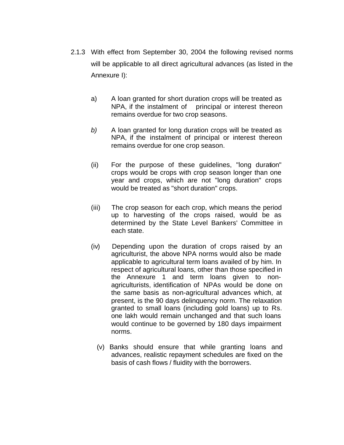- 2.1.3 With effect from September 30, 2004 the following revised norms will be applicable to all direct agricultural advances (as listed in the Annexure I):
	- a) A loan granted for short duration crops will be treated as NPA, if the instalment of principal or interest thereon remains overdue for two crop seasons.
	- *b)* A loan granted for long duration crops will be treated as NPA, if the instalment of principal or interest thereon remains overdue for one crop season.
	- (ii) For the purpose of these guidelines, "long duration" crops would be crops with crop season longer than one year and crops, which are not "long duration" crops would be treated as "short duration" crops.
	- (iii) The crop season for each crop, which means the period up to harvesting of the crops raised, would be as determined by the State Level Bankers' Committee in each state.
	- (iv) Depending upon the duration of crops raised by an agriculturist, the above NPA norms would also be made applicable to agricultural term loans availed of by him. In respect of agricultural loans, other than those specified in the Annexure 1 and term loans given to nonagriculturists, identification of NPAs would be done on the same basis as non-agricultural advances which, at present, is the 90 days delinquency norm. The relaxation granted to small loans (including gold loans) up to Rs. one lakh would remain unchanged and that such loans would continue to be governed by 180 days impairment norms.
		- (v) Banks should ensure that while granting loans and advances, realistic repayment schedules are fixed on the basis of cash flows / fluidity with the borrowers.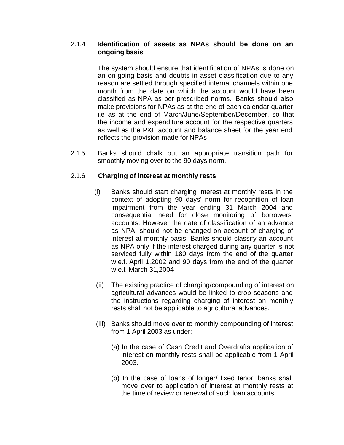## 2.1.4 **Identification of assets as NPAs should be done on an ongoing basis**

The system should ensure that identification of NPAs is done on an on-going basis and doubts in asset classification due to any reason are settled through specified internal channels within one month from the date on which the account would have been classified as NPA as per prescribed norms. Banks should also make provisions for NPAs as at the end of each calendar quarter i.e as at the end of March/June/September/December, so that the income and expenditure account for the respective quarters as well as the P&L account and balance sheet for the year end reflects the provision made for NPAs

2.1.5 Banks should chalk out an appropriate transition path for smoothly moving over to the 90 days norm.

## 2.1.6 **Charging of interest at monthly rests**

- (i) Banks should start charging interest at monthly rests in the context of adopting 90 days' norm for recognition of loan impairment from the year ending 31 March 2004 and consequential need for close monitoring of borrowers' accounts. However the date of classification of an advance as NPA, should not be changed on account of charging of interest at monthly basis. Banks should classify an account as NPA only if the interest charged during any quarter is not serviced fully within 180 days from the end of the quarter w.e.f. April 1,2002 and 90 days from the end of the quarter w.e.f. March 31,2004
- (ii) The existing practice of charging/compounding of interest on agricultural advances would be linked to crop seasons and the instructions regarding charging of interest on monthly rests shall not be applicable to agricultural advances.
- (iii) Banks should move over to monthly compounding of interest from 1 April 2003 as under:
	- (a) In the case of Cash Credit and Overdrafts application of interest on monthly rests shall be applicable from 1 April 2003.
	- (b) In the case of loans of longer/ fixed tenor, banks shall move over to application of interest at monthly rests at the time of review or renewal of such loan accounts.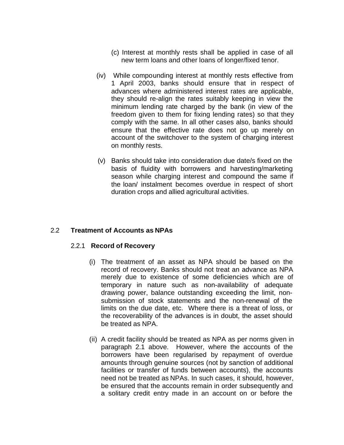- (c) Interest at monthly rests shall be applied in case of all new term loans and other loans of longer/fixed tenor.
- (iv) While compounding interest at monthly rests effective from 1 April 2003, banks should ensure that in respect of advances where administered interest rates are applicable, they should re-align the rates suitably keeping in view the minimum lending rate charged by the bank (in view of the freedom given to them for fixing lending rates) so that they comply with the same. In all other cases also, banks should ensure that the effective rate does not go up merely on account of the switchover to the system of charging interest on monthly rests.
- (v) Banks should take into consideration due date/s fixed on the basis of fluidity with borrowers and harvesting/marketing season while charging interest and compound the same if the loan/ instalment becomes overdue in respect of short duration crops and allied agricultural activities.

#### 2.2 **Treatment of Accounts as NPAs**

#### 2.2.1 **Record of Recovery**

- (i) The treatment of an asset as NPA should be based on the record of recovery. Banks should not treat an advance as NPA merely due to existence of some deficiencies which are of temporary in nature such as non-availability of adequate drawing power, balance outstanding exceeding the limit, nonsubmission of stock statements and the non-renewal of the limits on the due date, etc. Where there is a threat of loss, or the recoverability of the advances is in doubt, the asset should be treated as NPA.
- (ii) A credit facility should be treated as NPA as per norms given in paragraph 2.1 above. However, where the accounts of the borrowers have been regularised by repayment of overdue amounts through genuine sources (not by sanction of additional facilities or transfer of funds between accounts), the accounts need not be treated as NPAs. In such cases, it should, however, be ensured that the accounts remain in order subsequently and a solitary credit entry made in an account on or before the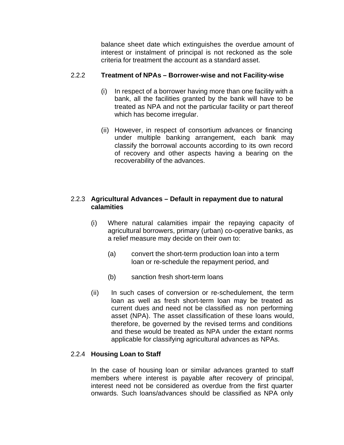balance sheet date which extinguishes the overdue amount of interest or instalment of principal is not reckoned as the sole criteria for treatment the account as a standard asset.

### 2.2.2 **Treatment of NPAs – Borrower-wise and not Facility-wise**

- (i) In respect of a borrower having more than one facility with a bank, all the facilities granted by the bank will have to be treated as NPA and not the particular facility or part thereof which has become irregular.
- (ii) However, in respect of consortium advances or financing under multiple banking arrangement, each bank may classify the borrowal accounts according to its own record of recovery and other aspects having a bearing on the recoverability of the advances.

### 2.2.3 **Agricultural Advances – Default in repayment due to natural calamities**

- (i) Where natural calamities impair the repaying capacity of agricultural borrowers, primary (urban) co-operative banks, as a relief measure may decide on their own to:
	- (a) convert the short-term production loan into a term loan or re-schedule the repayment period, and
	- (b) sanction fresh short-term loans
- (ii) In such cases of conversion or re-schedulement, the term loan as well as fresh short-term loan may be treated as current dues and need not be classified as non performing asset (NPA). The asset classification of these loans would, therefore, be governed by the revised terms and conditions and these would be treated as NPA under the extant norms applicable for classifying agricultural advances as NPAs.

#### 2.2.4 **Housing Loan to Staff**

In the case of housing loan or similar advances granted to staff members where interest is payable after recovery of principal, interest need not be considered as overdue from the first quarter onwards. Such loans/advances should be classified as NPA only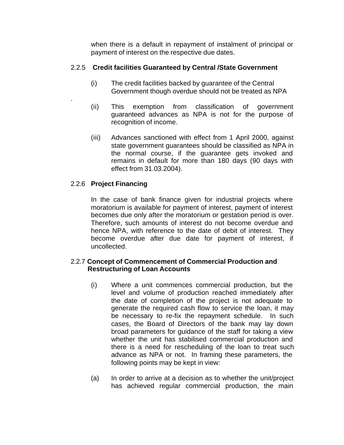when there is a default in repayment of instalment of principal or payment of interest on the respective due dates.

## 2.2.5 **Credit facilities Guaranteed by Central /State Government**

- (i) The credit facilities backed by guarantee of the Central Government though overdue should not be treated as NPA
- (ii) This exemption from classification of government guaranteed advances as NPA is not for the purpose of recognition of income.
- (iii) Advances sanctioned with effect from 1 April 2000, against state government guarantees should be classified as NPA in the normal course, if the guarantee gets invoked and remains in default for more than 180 days (90 days with effect from 31.03.2004).

### 2.2.6 **Project Financing**

.

In the case of bank finance given for industrial projects where moratorium is available for payment of interest, payment of interest becomes due only after the moratorium or gestation period is over. Therefore, such amounts of interest do not become overdue and hence NPA, with reference to the date of debit of interest. They become overdue after due date for payment of interest, if uncollected.

#### 2.2.7 **Concept of Commencement of Commercial Production and Restructuring of Loan Accounts**

- (i) Where a unit commences commercial production, but the level and volume of production reached immediately after the date of completion of the project is not adequate to generate the required cash flow to service the loan, it may be necessary to re-fix the repayment schedule. In such cases, the Board of Directors of the bank may lay down broad parameters for guidance of the staff for taking a view whether the unit has stabilised commercial production and there is a need for rescheduling of the loan to treat such advance as NPA or not. In framing these parameters, the following points may be kept in view:
- (a) In order to arrive at a decision as to whether the unit/project has achieved regular commercial production, the main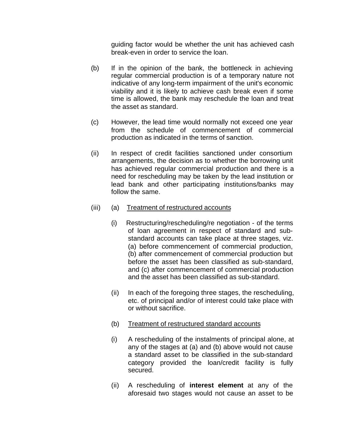guiding factor would be whether the unit has achieved cash break-even in order to service the loan.

- (b) If in the opinion of the bank, the bottleneck in achieving regular commercial production is of a temporary nature not indicative of any long-term impairment of the unit's economic viability and it is likely to achieve cash break even if some time is allowed, the bank may reschedule the loan and treat the asset as standard.
- (c) However, the lead time would normally not exceed one year from the schedule of commencement of commercial production as indicated in the terms of sanction.
- (ii) In respect of credit facilities sanctioned under consortium arrangements, the decision as to whether the borrowing unit has achieved regular commercial production and there is a need for rescheduling may be taken by the lead institution or lead bank and other participating institutions/banks may follow the same.
- (iii) (a) Treatment of restructured accounts
	- (i) Restructuring/rescheduling/re negotiation of the terms of loan agreement in respect of standard and substandard accounts can take place at three stages, viz. (a) before commencement of commercial production, (b) after commencement of commercial production but before the asset has been classified as sub-standard, and (c) after commencement of commercial production and the asset has been classified as sub-standard.
	- (ii) In each of the foregoing three stages, the rescheduling, etc. of principal and/or of interest could take place with or without sacrifice.
	- (b) Treatment of restructured standard accounts
	- (i) A rescheduling of the instalments of principal alone, at any of the stages at (a) and (b) above would not cause a standard asset to be classified in the sub-standard category provided the loan/credit facility is fully secured.
	- (ii) A rescheduling of **interest element** at any of the aforesaid two stages would not cause an asset to be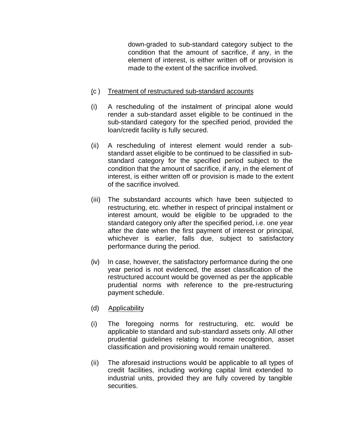down-graded to sub-standard category subject to the condition that the amount of sacrifice, if any, in the element of interest, is either written off or provision is made to the extent of the sacrifice involved.

### (c ) Treatment of restructured sub-standard accounts

- (i) A rescheduling of the instalment of principal alone would render a sub-standard asset eligible to be continued in the sub-standard category for the specified period, provided the loan/credit facility is fully secured.
- (ii) A rescheduling of interest element would render a substandard asset eligible to be continued to be classified in substandard category for the specified period subject to the condition that the amount of sacrifice, if any, in the element of interest, is either written off or provision is made to the extent of the sacrifice involved.
- (iii) The substandard accounts which have been subjected to restructuring, etc. whether in respect of principal instalment or interest amount, would be eligible to be upgraded to the standard category only after the specified period, i.e. one year after the date when the first payment of interest or principal, whichever is earlier, falls due, subject to satisfactory performance during the period.
- (iv) In case, however, the satisfactory performance during the one year period is not evidenced, the asset classification of the restructured account would be governed as per the applicable prudential norms with reference to the pre-restructuring payment schedule.
- (d) Applicability
- (i) The foregoing norms for restructuring, etc. would be applicable to standard and sub-standard assets only. All other prudential guidelines relating to income recognition, asset classification and provisioning would remain unaltered.
- (ii) The aforesaid instructions would be applicable to all types of credit facilities, including working capital limit extended to industrial units, provided they are fully covered by tangible securities.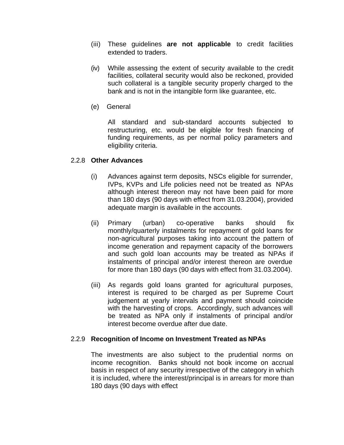- (iii) These guidelines **are not applicable** to credit facilities extended to traders.
- (iv) While assessing the extent of security available to the credit facilities, collateral security would also be reckoned, provided such collateral is a tangible security properly charged to the bank and is not in the intangible form like guarantee, etc.
- (e) General

All standard and sub-standard accounts subjected to restructuring, etc. would be eligible for fresh financing of funding requirements, as per normal policy parameters and eligibility criteria.

#### 2.2.8 **Other Advances**

- (i) Advances against term deposits, NSCs eligible for surrender, IVPs, KVPs and Life policies need not be treated as NPAs although interest thereon may not have been paid for more than 180 days (90 days with effect from 31.03.2004), provided adequate margin is available in the accounts.
- (ii) Primary (urban) co-operative banks should fix monthly/quarterly instalments for repayment of gold loans for non-agricultural purposes taking into account the pattern of income generation and repayment capacity of the borrowers and such gold loan accounts may be treated as NPAs if instalments of principal and/or interest thereon are overdue for more than 180 days (90 days with effect from 31.03.2004).
- (iii) As regards gold loans granted for agricultural purposes, interest is required to be charged as per Supreme Court judgement at yearly intervals and payment should coincide with the harvesting of crops. Accordingly, such advances will be treated as NPA only if instalments of principal and/or interest become overdue after due date.

#### 2.2.9 **Recognition of Income on Investment Treated as NPAs**

The investments are also subject to the prudential norms on income recognition. Banks should not book income on accrual basis in respect of any security irrespective of the category in which it is included, where the interest/principal is in arrears for more than 180 days (90 days with effect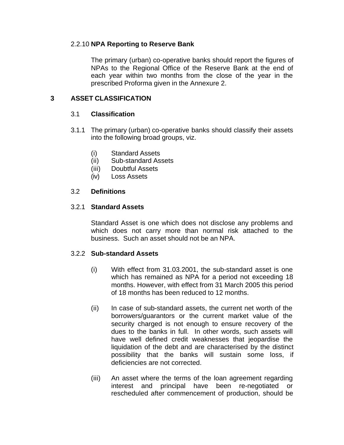#### 2.2.10 **NPA Reporting to Reserve Bank**

The primary (urban) co-operative banks should report the figures of NPAs to the Regional Office of the Reserve Bank at the end of each year within two months from the close of the year in the prescribed Proforma given in the Annexure 2.

#### **3 ASSET CLASSIFICATION**

#### 3.1 **Classification**

- 3.1.1 The primary (urban) co-operative banks should classify their assets into the following broad groups, viz.
	- (i) Standard Assets
	- (ii) Sub-standard Assets
	- (iii) Doubtful Assets
	- (iv) Loss Assets

#### 3.2 **Definitions**

#### 3.2.1 **Standard Assets**

Standard Asset is one which does not disclose any problems and which does not carry more than normal risk attached to the business. Such an asset should not be an NPA.

#### 3.2.2 **Sub-standard Assets**

- (i) With effect from 31.03.2001, the sub-standard asset is one which has remained as NPA for a period not exceeding 18 months. However, with effect from 31 March 2005 this period of 18 months has been reduced to 12 months.
- (ii) In case of sub-standard assets, the current net worth of the borrowers/guarantors or the current market value of the security charged is not enough to ensure recovery of the dues to the banks in full. In other words, such assets will have well defined credit weaknesses that jeopardise the liquidation of the debt and are characterised by the distinct possibility that the banks will sustain some loss, if deficiencies are not corrected.
- (iii) An asset where the terms of the loan agreement regarding interest and principal have been re-negotiated or rescheduled after commencement of production, should be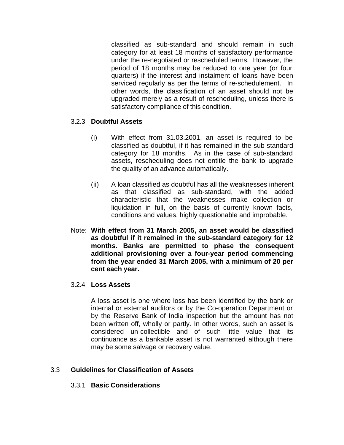classified as sub-standard and should remain in such category for at least 18 months of satisfactory performance under the re-negotiated or rescheduled terms. However, the period of 18 months may be reduced to one year (or four quarters) if the interest and instalment of loans have been serviced regularly as per the terms of re-schedulement. In other words, the classification of an asset should not be upgraded merely as a result of rescheduling, unless there is satisfactory compliance of this condition.

#### 3.2.3 **Doubtful Assets**

- (i) With effect from 31.03.2001, an asset is required to be classified as doubtful, if it has remained in the sub-standard category for 18 months. As in the case of sub-standard assets, rescheduling does not entitle the bank to upgrade the quality of an advance automatically.
- (ii) A loan classified as doubtful has all the weaknesses inherent as that classified as sub-standard, with the added characteristic that the weaknesses make collection or liquidation in full, on the basis of currently known facts, conditions and values, highly questionable and improbable.
- Note: **With effect from 31 March 2005, an asset would be classified as doubtful if it remained in the sub-standard category for 12 months. Banks are permitted to phase the consequent additional provisioning over a four-year period commencing from the year ended 31 March 2005, with a minimum of 20 per cent each year.**

#### 3.2.4 **Loss Assets**

A loss asset is one where loss has been identified by the bank or internal or external auditors or by the Co-operation Department or by the Reserve Bank of India inspection but the amount has not been written off, wholly or partly. In other words, such an asset is considered un-collectible and of such little value that its continuance as a bankable asset is not warranted although there may be some salvage or recovery value.

#### 3.3 **Guidelines for Classification of Assets**

#### 3.3.1 **Basic Considerations**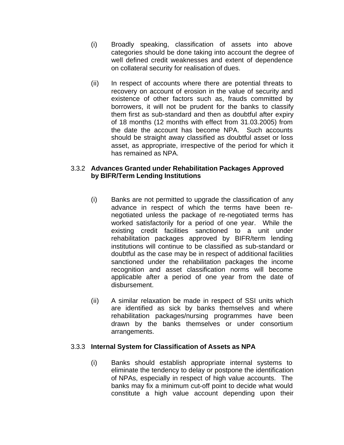- (i) Broadly speaking, classification of assets into above categories should be done taking into account the degree of well defined credit weaknesses and extent of dependence on collateral security for realisation of dues.
- (ii) In respect of accounts where there are potential threats to recovery on account of erosion in the value of security and existence of other factors such as, frauds committed by borrowers, it will not be prudent for the banks to classify them first as sub-standard and then as doubtful after expiry of 18 months (12 months with effect from 31.03.2005) from the date the account has become NPA. Such accounts should be straight away classified as doubtful asset or loss asset, as appropriate, irrespective of the period for which it has remained as NPA.

#### 3.3.2 **Advances Granted under Rehabilitation Packages Approved by BIFR/Term Lending Institutions**

- (i) Banks are not permitted to upgrade the classification of any advance in respect of which the terms have been renegotiated unless the package of re-negotiated terms has worked satisfactorily for a period of one year. While the existing credit facilities sanctioned to a unit under rehabilitation packages approved by BIFR/term lending institutions will continue to be classified as sub-standard or doubtful as the case may be in respect of additional facilities sanctioned under the rehabilitation packages the income recognition and asset classification norms will become applicable after a period of one year from the date of disbursement.
- (ii) A similar relaxation be made in respect of SSI units which are identified as sick by banks themselves and where rehabilitation packages/nursing programmes have been drawn by the banks themselves or under consortium arrangements.

#### 3.3.3 **Internal System for Classification of Assets as NPA**

(i) Banks should establish appropriate internal systems to eliminate the tendency to delay or postpone the identification of NPAs, especially in respect of high value accounts. The banks may fix a minimum cut-off point to decide what would constitute a high value account depending upon their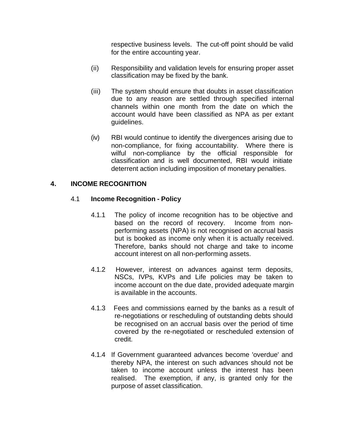respective business levels. The cut-off point should be valid for the entire accounting year.

- (ii) Responsibility and validation levels for ensuring proper asset classification may be fixed by the bank.
- (iii) The system should ensure that doubts in asset classification due to any reason are settled through specified internal channels within one month from the date on which the account would have been classified as NPA as per extant guidelines.
- (iv) RBI would continue to identify the divergences arising due to non-compliance, for fixing accountability. Where there is wilful non-compliance by the official responsible for classification and is well documented, RBI would initiate deterrent action including imposition of monetary penalties.

## **4. INCOME RECOGNITION**

#### 4.1 **Income Recognition - Policy**

- 4.1.1 The policy of income recognition has to be objective and based on the record of recovery. Income from nonperforming assets (NPA) is not recognised on accrual basis but is booked as income only when it is actually received. Therefore, banks should not charge and take to income account interest on all non-performing assets.
- 4.1.2 However, interest on advances against term deposits, NSCs, IVPs, KVPs and Life policies may be taken to income account on the due date, provided adequate margin is available in the accounts.
- 4.1.3 Fees and commissions earned by the banks as a result of re-negotiations or rescheduling of outstanding debts should be recognised on an accrual basis over the period of time covered by the re-negotiated or rescheduled extension of credit.
- 4.1.4 If Government guaranteed advances become 'overdue' and thereby NPA, the interest on such advances should not be taken to income account unless the interest has been realised. The exemption, if any, is granted only for the purpose of asset classification.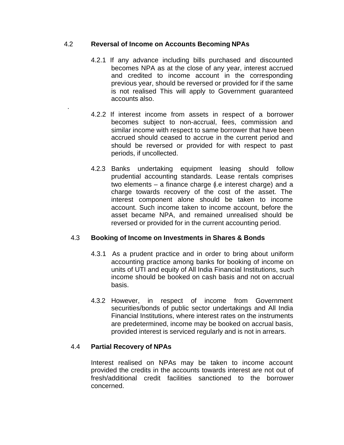### 4.2 **Reversal of Income on Accounts Becoming NPAs**

.

- 4.2.1 If any advance including bills purchased and discounted becomes NPA as at the close of any year, interest accrued and credited to income account in the corresponding previous year, should be reversed or provided for if the same is not realised This will apply to Government guaranteed accounts also.
- 4.2.2 If interest income from assets in respect of a borrower becomes subject to non-accrual, fees, commission and similar income with respect to same borrower that have been accrued should ceased to accrue in the current period and should be reversed or provided for with respect to past periods, if uncollected.
- 4.2.3 Banks undertaking equipment leasing should follow prudential accounting standards. Lease rentals comprises two elements – a finance charge (i.e interest charge) and a charge towards recovery of the cost of the asset. The interest component alone should be taken to income account. Such income taken to income account, before the asset became NPA, and remained unrealised should be reversed or provided for in the current accounting period.

#### 4.3 **Booking of Income on Investments in Shares & Bonds**

- 4.3.1 As a prudent practice and in order to bring about uniform accounting practice among banks for booking of income on units of UTI and equity of All India Financial Institutions, such income should be booked on cash basis and not on accrual basis.
- 4.3.2 However, in respect of income from Government securities/bonds of public sector undertakings and All India Financial Institutions, where interest rates on the instruments are predetermined, income may be booked on accrual basis, provided interest is serviced regularly and is not in arrears.

## 4.4 **Partial Recovery of NPAs**

Interest realised on NPAs may be taken to income account provided the credits in the accounts towards interest are not out of fresh/additional credit facilities sanctioned to the borrower concerned.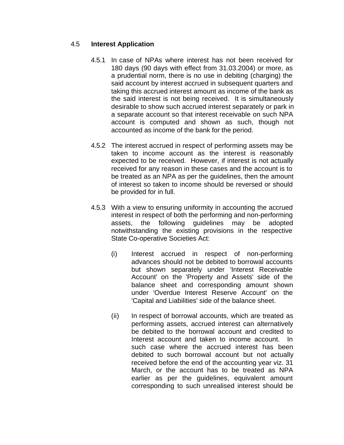### 4.5 **Interest Application**

- 4.5.1 In case of NPAs where interest has not been received for 180 days (90 days with effect from 31.03.2004) or more, as a prudential norm, there is no use in debiting (charging) the said account by interest accrued in subsequent quarters and taking this accrued interest amount as income of the bank as the said interest is not being received. It is simultaneously desirable to show such accrued interest separately or park in a separate account so that interest receivable on such NPA account is computed and shown as such, though not accounted as income of the bank for the period.
- 4.5.2 The interest accrued in respect of performing assets may be taken to income account as the interest is reasonably expected to be received. However, if interest is not actually received for any reason in these cases and the account is to be treated as an NPA as per the guidelines, then the amount of interest so taken to income should be reversed or should be provided for in full.
- 4.5.3 With a view to ensuring uniformity in accounting the accrued interest in respect of both the performing and non-performing assets, the following guidelines may be adopted notwithstanding the existing provisions in the respective State Co-operative Societies Act:
	- (i) Interest accrued in respect of non-performing advances should not be debited to borrowal accounts but shown separately under 'Interest Receivable Account' on the 'Property and Assets' side of the balance sheet and corresponding amount shown under 'Overdue Interest Reserve Account' on the 'Capital and Liabilities' side of the balance sheet.
	- (ii) In respect of borrowal accounts, which are treated as performing assets, accrued interest can alternatively be debited to the borrowal account and credited to Interest account and taken to income account. In such case where the accrued interest has been debited to such borrowal account but not actually received before the end of the accounting year viz. 31 March, or the account has to be treated as NPA earlier as per the guidelines, equivalent amount corresponding to such unrealised interest should be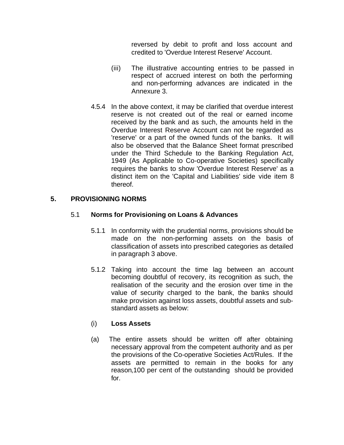reversed by debit to profit and loss account and credited to 'Overdue Interest Reserve' Account.

- (iii) The illustrative accounting entries to be passed in respect of accrued interest on both the performing and non-performing advances are indicated in the Annexure 3.
- 4.5.4 In the above context, it may be clarified that overdue interest reserve is not created out of the real or earned income received by the bank and as such, the amounts held in the Overdue Interest Reserve Account can not be regarded as 'reserve' or a part of the owned funds of the banks. It will also be observed that the Balance Sheet format prescribed under the Third Schedule to the Banking Regulation Act, 1949 (As Applicable to Co-operative Societies) specifically requires the banks to show 'Overdue Interest Reserve' as a distinct item on the 'Capital and Liabilities' side vide item 8 thereof.

## **5. PROVISIONING NORMS**

## 5.1 **Norms for Provisioning on Loans & Advances**

- 5.1.1 In conformity with the prudential norms, provisions should be made on the non-performing assets on the basis of classification of assets into prescribed categories as detailed in paragraph 3 above.
- 5.1.2 Taking into account the time lag between an account becoming doubtful of recovery, its recognition as such, the realisation of the security and the erosion over time in the value of security charged to the bank, the banks should make provision against loss assets, doubtful assets and substandard assets as below:

## (i) **Loss Assets**

(a) The entire assets should be written off after obtaining necessary approval from the competent authority and as per the provisions of the Co-operative Societies Act/Rules. If the assets are permitted to remain in the books for any reason,100 per cent of the outstanding should be provided for.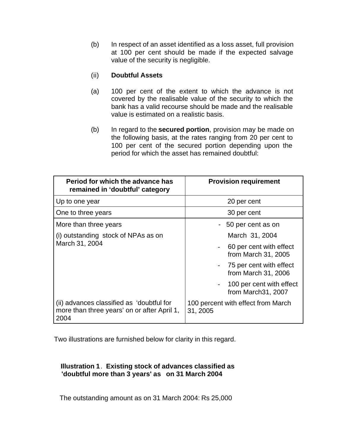(b) In respect of an asset identified as a loss asset, full provision at 100 per cent should be made if the expected salvage value of the security is negligible.

### (ii) **Doubtful Assets**

- (a) 100 per cent of the extent to which the advance is not covered by the realisable value of the security to which the bank has a valid recourse should be made and the realisable value is estimated on a realistic basis.
- (b) In regard to the **secured portion**, provision may be made on the following basis, at the rates ranging from 20 per cent to 100 per cent of the secured portion depending upon the period for which the asset has remained doubtful:

| Period for which the advance has<br>remained in 'doubtful' category                              | <b>Provision requirement</b>                                 |  |  |  |  |
|--------------------------------------------------------------------------------------------------|--------------------------------------------------------------|--|--|--|--|
| Up to one year                                                                                   | 20 per cent                                                  |  |  |  |  |
| One to three years                                                                               | 30 per cent                                                  |  |  |  |  |
| More than three years                                                                            | - 50 per cent as on                                          |  |  |  |  |
| (i) outstanding stock of NPAs as on                                                              | March 31, 2004                                               |  |  |  |  |
| March 31, 2004                                                                                   | 60 per cent with effect<br>from March 31, 2005               |  |  |  |  |
|                                                                                                  | 75 per cent with effect<br>$\sim$ $-$<br>from March 31, 2006 |  |  |  |  |
|                                                                                                  | 100 per cent with effect<br>from March 31, 2007              |  |  |  |  |
| (ii) advances classified as 'doubtful for<br>more than three years' on or after April 1,<br>2004 | 100 percent with effect from March<br>31, 2005               |  |  |  |  |

Two illustrations are furnished below for clarity in this regard.

## **Illustration 1**. **Existing stock of advances classified as 'doubtful more than 3 years' as on 31 March 2004**

The outstanding amount as on 31 March 2004: Rs 25,000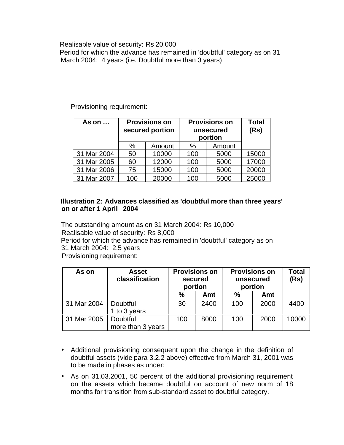#### Realisable value of security: Rs 20,000

 Period for which the advance has remained in 'doubtful' category as on 31 March 2004: 4 years (i.e. Doubtful more than 3 years)

### Provisioning requirement:

| As on       |      | <b>Provisions on</b><br>secured portion |      | <b>Provisions on</b><br>unsecured<br>portion |       |  |
|-------------|------|-----------------------------------------|------|----------------------------------------------|-------|--|
|             | $\%$ | Amount                                  | $\%$ | Amount                                       |       |  |
| 31 Mar 2004 | 50   | 10000                                   | 100  | 5000                                         | 15000 |  |
| 31 Mar 2005 | 60   | 12000                                   | 100  | 5000                                         | 17000 |  |
| 31 Mar 2006 | 75   | 15000                                   | 100  | 5000                                         | 20000 |  |
| 31 Mar 2007 | 100  | 20000                                   | 100  | 5000                                         | 25000 |  |

### **Illustration 2: Advances classified as 'doubtful more than three years' on or after 1 April 2004**

 The outstanding amount as on 31 March 2004: Rs 10,000 Realisable value of security: Rs 8,000 Period for which the advance has remained in 'doubtful' category as on 31 March 2004: 2.5 years Provisioning requirement:

| As on       | <b>Asset</b><br>classification  | <b>Provisions on</b><br>secured<br>portion |      | unsecured | <b>Provisions on</b><br>portion | Total<br>(Rs) |
|-------------|---------------------------------|--------------------------------------------|------|-----------|---------------------------------|---------------|
|             |                                 | %                                          | Amt  | %         | Amt                             |               |
| 31 Mar 2004 | <b>Doubtful</b><br>1 to 3 years | 30                                         | 2400 | 100       | 2000                            | 4400          |
| 31 Mar 2005 | Doubtful<br>more than 3 years   | 100                                        | 8000 | 100       | 2000                            | 10000         |

- Additional provisioning consequent upon the change in the definition of doubtful assets (vide para 3.2.2 above) effective from March 31, 2001 was to be made in phases as under:
- As on 31.03.2001, 50 percent of the additional provisioning requirement on the assets which became doubtful on account of new norm of 18 months for transition from sub-standard asset to doubtful category.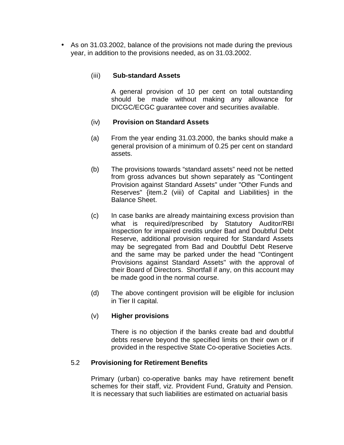• As on 31.03.2002, balance of the provisions not made during the previous year, in addition to the provisions needed, as on 31.03.2002.

## (iii) **Sub-standard Assets**

A general provision of 10 per cent on total outstanding should be made without making any allowance for DICGC/ECGC guarantee cover and securities available.

### (iv) **Provision on Standard Assets**

- (a) From the year ending 31.03.2000, the banks should make a general provision of a minimum of 0.25 per cent on standard assets.
- (b) The provisions towards "standard assets" need not be netted from gross advances but shown separately as "Contingent Provision against Standard Assets" under "Other Funds and Reserves" {item.2 (viii) of Capital and Liabilities} in the Balance Sheet.
- (c) In case banks are already maintaining excess provision than what is required/prescribed by Statutory Auditor/RBI Inspection for impaired credits under Bad and Doubtful Debt Reserve, additional provision required for Standard Assets may be segregated from Bad and Doubtful Debt Reserve and the same may be parked under the head "Contingent Provisions against Standard Assets" with the approval of their Board of Directors. Shortfall if any, on this account may be made good in the normal course.
- (d) The above contingent provision will be eligible for inclusion in Tier II capital.

#### (v) **Higher provisions**

There is no objection if the banks create bad and doubtful debts reserve beyond the specified limits on their own or if provided in the respective State Co-operative Societies Acts.

#### 5.2 **Provisioning for Retirement Benefits**

Primary (urban) co-operative banks may have retirement benefit schemes for their staff, viz. Provident Fund, Gratuity and Pension. It is necessary that such liabilities are estimated on actuarial basis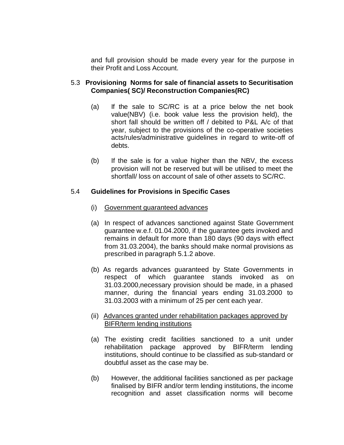and full provision should be made every year for the purpose in their Profit and Loss Account.

#### 5.3 **Provisioning Norms for sale of financial assets to Securitisation Companies( SC)/ Reconstruction Companies(RC)**

- (a) If the sale to SC/RC is at a price below the net book value(NBV) (i.e. book value less the provision held), the short fall should be written off / debited to P&L A/c of that year, subject to the provisions of the co-operative societies acts/rules/administrative guidelines in regard to write-off of debts.
- (b) If the sale is for a value higher than the NBV, the excess provision will not be reserved but will be utilised to meet the shortfall/ loss on account of sale of other assets to SC/RC.

### 5.4 **Guidelines for Provisions in Specific Cases**

- (i) Government guaranteed advances
- (a) In respect of advances sanctioned against State Government guarantee w.e.f. 01.04.2000, if the guarantee gets invoked and remains in default for more than 180 days (90 days with effect from 31.03.2004), the banks should make normal provisions as prescribed in paragraph 5.1.2 above.
- (b) As regards advances guaranteed by State Governments in respect of which guarantee stands invoked as on 31.03.2000,necessary provision should be made, in a phased manner, during the financial years ending 31.03.2000 to 31.03.2003 with a minimum of 25 per cent each year.
- (ii) Advances granted under rehabilitation packages approved by BIFR/term lending institutions
- (a) The existing credit facilities sanctioned to a unit under rehabilitation package approved by BIFR/term lending institutions, should continue to be classified as sub-standard or doubtful asset as the case may be.
- (b) However, the additional facilities sanctioned as per package finalised by BIFR and/or term lending institutions, the income recognition and asset classification norms will become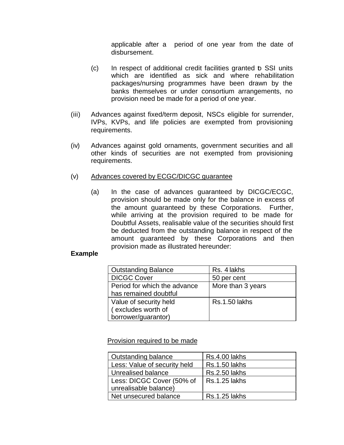applicable after a period of one year from the date of disbursement.

- (c) In respect of additional credit facilities granted to SSI units which are identified as sick and where rehabilitation packages/nursing programmes have been drawn by the banks themselves or under consortium arrangements, no provision need be made for a period of one year.
- (iii) Advances against fixed/term deposit, NSCs eligible for surrender, IVPs, KVPs, and life policies are exempted from provisioning requirements.
- (iv) Advances against gold ornaments, government securities and all other kinds of securities are not exempted from provisioning requirements.
- (v) Advances covered by ECGC/DICGC guarantee
	- (a) In the case of advances guaranteed by DICGC/ECGC, provision should be made only for the balance in excess of the amount guaranteed by these Corporations. Further, while arriving at the provision required to be made for Doubtful Assets, realisable value of the securities should first be deducted from the outstanding balance in respect of the amount guaranteed by these Corporations and then provision made as illustrated hereunder:

#### **Example**

| <b>Outstanding Balance</b>   | Rs. 4 lakhs          |
|------------------------------|----------------------|
| <b>DICGC Cover</b>           | 50 per cent          |
| Period for which the advance | More than 3 years    |
| has remained doubtful        |                      |
| Value of security held       | <b>Rs.1.50 lakhs</b> |
| (excludes worth of           |                      |
| borrower/guarantor)          |                      |

Provision required to be made

| Outstanding balance          | Rs.4.00 lakhs        |
|------------------------------|----------------------|
| Less: Value of security held | <b>Rs.1.50 lakhs</b> |
| Unrealised balance           | <b>Rs.2.50 lakhs</b> |
| Less: DICGC Cover (50% of    | <b>Rs.1.25 lakhs</b> |
| unrealisable balance)        |                      |
| Net unsecured balance        | <b>Rs.1.25 lakhs</b> |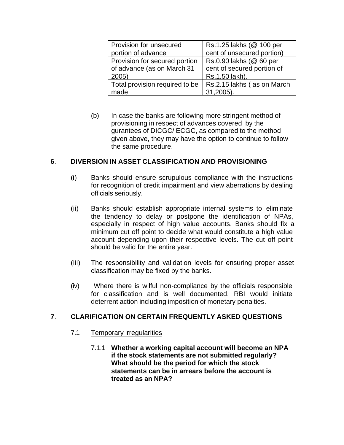| Provision for unsecured        | Rs.1.25 lakhs (@ 100 per   |
|--------------------------------|----------------------------|
| portion of advance             | cent of unsecured portion) |
| Provision for secured portion  | Rs.0.90 lakhs (@ 60 per    |
| of advance (as on March 31     | cent of secured portion of |
| 2005                           | Rs.1.50 lakh).             |
| Total provision required to be | Rs.2.15 lakhs (as on March |
| made                           | 31,2005).                  |

(b) In case the banks are following more stringent method of provisioning in respect of advances covered by the gurantees of DICGC/ ECGC, as compared to the method given above, they may have the option to continue to follow the same procedure.

### **6**. **DIVERSION IN ASSET CLASSIFICATION AND PROVISIONING**

- (i) Banks should ensure scrupulous compliance with the instructions for recognition of credit impairment and view aberrations by dealing officials seriously.
- (ii) Banks should establish appropriate internal systems to eliminate the tendency to delay or postpone the identification of NPAs, especially in respect of high value accounts. Banks should fix a minimum cut off point to decide what would constitute a high value account depending upon their respective levels. The cut off point should be valid for the entire year.
- (iii) The responsibility and validation levels for ensuring proper asset classification may be fixed by the banks.
- (iv) Where there is wilful non-compliance by the officials responsible for classification and is well documented, RBI would initiate deterrent action including imposition of monetary penalties.

#### **7**. **CLARIFICATION ON CERTAIN FREQUENTLY ASKED QUESTIONS**

- 7.1 Temporary irregularities
	- 7.1.1 **Whether a working capital account will become an NPA if the stock statements are not submitted regularly? What should be the period for which the stock statements can be in arrears before the account is treated as an NPA?**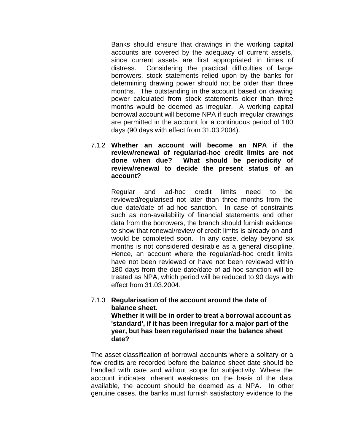Banks should ensure that drawings in the working capital accounts are covered by the adequacy of current assets, since current assets are first appropriated in times of distress. Considering the practical difficulties of large borrowers, stock statements relied upon by the banks for determining drawing power should not be older than three months. The outstanding in the account based on drawing power calculated from stock statements older than three months would be deemed as irregular. A working capital borrowal account will become NPA if such irregular drawings are permitted in the account for a continuous period of 180 days (90 days with effect from 31.03.2004).

7.1.2 **Whether an account will become an NPA if the review/renewal of regular/ad-hoc credit limits are not done when due? What should be periodicity of review/renewal to decide the present status of an account?**

> Regular and ad-hoc credit limits need to be reviewed/regularised not later than three months from the due date/date of ad-hoc sanction. In case of constraints such as non-availability of financial statements and other data from the borrowers, the branch should furnish evidence to show that renewal/review of credit limits is already on and would be completed soon. In any case, delay beyond six months is not considered desirable as a general discipline. Hence, an account where the regular/ad-hoc credit limits have not been reviewed or have not been reviewed within 180 days from the due date/date of ad-hoc sanction will be treated as NPA, which period will be reduced to 90 days with effect from 31.03.2004.

7.1.3 **Regularisation of the account around the date of balance sheet. Whether it will be in order to treat a borrowal account as 'standard', if it has been irregular for a major part of the year, but has been regularised near the balance sheet date?**

The asset classification of borrowal accounts where a solitary or a few credits are recorded before the balance sheet date should be handled with care and without scope for subjectivity. Where the account indicates inherent weakness on the basis of the data available, the account should be deemed as a NPA. In other genuine cases, the banks must furnish satisfactory evidence to the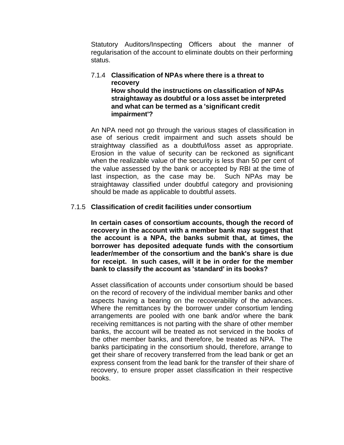Statutory Auditors/Inspecting Officers about the manner of regularisation of the account to eliminate doubts on their performing status.

#### 7.1.4 **Classification of NPAs where there is a threat to recovery How should the instructions on classification of NPAs straightaway as doubtful or a loss asset be interpreted and what can be termed as a 'significant credit impairment'?**

An NPA need not go through the various stages of classification in ase of serious credit impairment and such assets should be straightway classified as a doubtful/loss asset as appropriate. Erosion in the value of security can be reckoned as significant when the realizable value of the security is less than 50 per cent of the value assessed by the bank or accepted by RBI at the time of last inspection, as the case may be. Such NPAs may be straightaway classified under doubtful category and provisioning should be made as applicable to doubtful assets.

### 7.1.5 **Classification of credit facilities under consortium**

**In certain cases of consortium accounts, though the record of recovery in the account with a member bank may suggest that the account is a NPA, the banks submit that, at times, the borrower has deposited adequate funds with the consortium leader/member of the consortium and the bank's share is due for receipt. In such cases, will it be in order for the member bank to classify the account as 'standard' in its books?**

Asset classification of accounts under consortium should be based on the record of recovery of the individual member banks and other aspects having a bearing on the recoverability of the advances. Where the remittances by the borrower under consortium lending arrangements are pooled with one bank and/or where the bank receiving remittances is not parting with the share of other member banks, the account will be treated as not serviced in the books of the other member banks, and therefore, be treated as NPA. The banks participating in the consortium should, therefore, arrange to get their share of recovery transferred from the lead bank or get an express consent from the lead bank for the transfer of their share of recovery, to ensure proper asset classification in their respective books.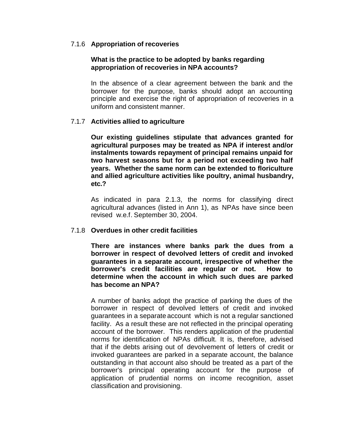#### 7.1.6 **Appropriation of recoveries**

#### **What is the practice to be adopted by banks regarding appropriation of recoveries in NPA accounts?**

In the absence of a clear agreement between the bank and the borrower for the purpose, banks should adopt an accounting principle and exercise the right of appropriation of recoveries in a uniform and consistent manner.

#### 7.1.7 **Activities allied to agriculture**

**Our existing guidelines stipulate that advances granted for agricultural purposes may be treated as NPA if interest and/or instalments towards repayment of principal remains unpaid for two harvest seasons but for a period not exceeding two half years. Whether the same norm can be extended to floriculture and allied agriculture activities like poultry, animal husbandry, etc.?**

As indicated in para 2.1.3, the norms for classifying direct agricultural advances (listed in Ann 1), as NPAs have since been revised w.e.f. September 30, 2004.

#### 7.1.8 **Overdues in other credit facilities**

**There are instances where banks park the dues from a borrower in respect of devolved letters of credit and invoked guarantees in a separate account, irrespective of whether the borrower's credit facilities are regular or not. How to determine when the account in which such dues are parked has become an NPA?**

A number of banks adopt the practice of parking the dues of the borrower in respect of devolved letters of credit and invoked guarantees in a separate account which is not a regular sanctioned facility. As a result these are not reflected in the principal operating account of the borrower. This renders application of the prudential norms for identification of NPAs difficult. It is, therefore, advised that if the debts arising out of devolvement of letters of credit or invoked guarantees are parked in a separate account, the balance outstanding in that account also should be treated as a part of the borrower's principal operating account for the purpose of application of prudential norms on income recognition, asset classification and provisioning.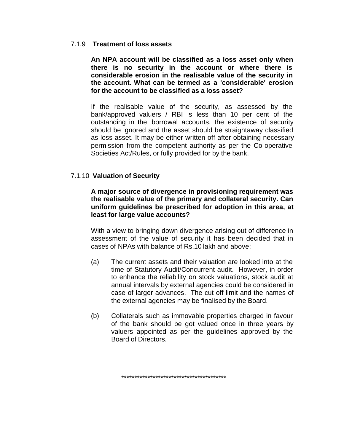#### 7.1.9 **Treatment of loss assets**

**An NPA account will be classified as a loss asset only when there is no security in the account or where there is considerable erosion in the realisable value of the security in the account. What can be termed as a 'considerable' erosion for the account to be classified as a loss asset?**

If the realisable value of the security, as assessed by the bank/approved valuers / RBI is less than 10 per cent of the outstanding in the borrowal accounts, the existence of security should be ignored and the asset should be straightaway classified as loss asset. It may be either written off after obtaining necessary permission from the competent authority as per the Co-operative Societies Act/Rules, or fully provided for by the bank.

#### 7.1.10 **Valuation of Security**

**A major source of divergence in provisioning requirement was the realisable value of the primary and collateral security. Can uniform guidelines be prescribed for adoption in this area, at least for large value accounts?**

With a view to bringing down divergence arising out of difference in assessment of the value of security it has been decided that in cases of NPAs with balance of Rs.10 lakh and above:

- (a) The current assets and their valuation are looked into at the time of Statutory Audit/Concurrent audit. However, in order to enhance the reliability on stock valuations, stock audit at annual intervals by external agencies could be considered in case of larger advances. The cut off limit and the names of the external agencies may be finalised by the Board.
- (b) Collaterals such as immovable properties charged in favour of the bank should be got valued once in three years by valuers appointed as per the guidelines approved by the Board of Directors.

\*\*\*\*\*\*\*\*\*\*\*\*\*\*\*\*\*\*\*\*\*\*\*\*\*\*\*\*\*\*\*\*\*\*\*\*\*\*\*\*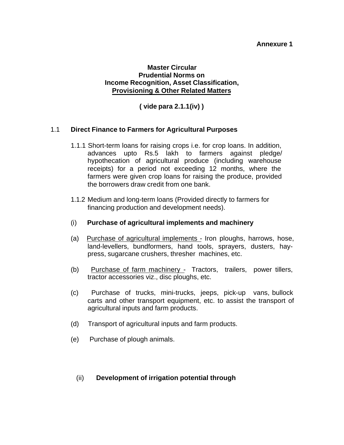#### **Annexure 1**

#### **Master Circular Prudential Norms on Income Recognition, Asset Classification, Provisioning & Other Related Matters**

**( vide para 2.1.1(iv) )**

#### 1.1 **Direct Finance to Farmers for Agricultural Purposes**

- 1.1.1 Short-term loans for raising crops i.e. for crop loans. In addition, advances upto Rs.5 lakh to farmers against pledge/ hypothecation of agricultural produce (including warehouse receipts) for a period not exceeding 12 months, where the farmers were given crop loans for raising the produce, provided the borrowers draw credit from one bank.
- 1.1.2 Medium and long-term loans (Provided directly to farmers for financing production and development needs).

#### (i) **Purchase of agricultural implements and machinery**

- (a) Purchase of agricultural implements Iron ploughs, harrows, hose, land-levellers, bundformers, hand tools, sprayers, dusters, haypress, sugarcane crushers, thresher machines, etc.
- (b) Purchase of farm machinery Tractors, trailers, power tillers, tractor accessories viz., disc ploughs, etc.
- (c) Purchase of trucks, mini-trucks, jeeps, pick-up vans, bullock carts and other transport equipment, etc. to assist the transport of agricultural inputs and farm products.
- (d) Transport of agricultural inputs and farm products.
- (e) Purchase of plough animals.

#### (ii) **Development of irrigation potential through**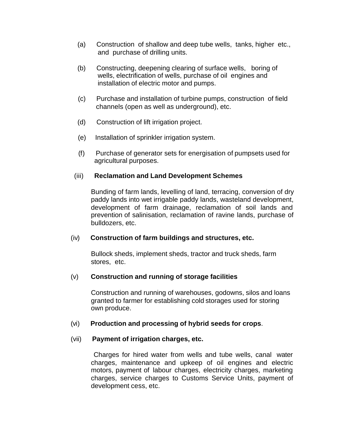- (a) Construction of shallow and deep tube wells, tanks, higher etc., and purchase of drilling units.
- (b) Constructing, deepening clearing of surface wells, boring of wells, electrification of wells, purchase of oil engines and installation of electric motor and pumps.
- (c) Purchase and installation of turbine pumps, construction of field channels (open as well as underground), etc.
- (d) Construction of lift irrigation project.
- (e) Installation of sprinkler irrigation system.
- (f) Purchase of generator sets for energisation of pumpsets used for agricultural purposes.

### (iii) **Reclamation and Land Development Schemes**

Bunding of farm lands, levelling of land, terracing, conversion of dry paddy lands into wet irrigable paddy lands, wasteland development, development of farm drainage, reclamation of soil lands and prevention of salinisation, reclamation of ravine lands, purchase of bulldozers, etc.

## (iv) **Construction of farm buildings and structures, etc.**

Bullock sheds, implement sheds, tractor and truck sheds, farm stores, etc.

#### (v) **Construction and running of storage facilities**

Construction and running of warehouses, godowns, silos and loans granted to farmer for establishing cold storages used for storing own produce.

#### (vi) **Production and processing of hybrid seeds for crops**.

#### (vii) **Payment of irrigation charges, etc.**

 Charges for hired water from wells and tube wells, canal water charges, maintenance and upkeep of oil engines and electric motors, payment of labour charges, electricity charges, marketing charges, service charges to Customs Service Units, payment of development cess, etc.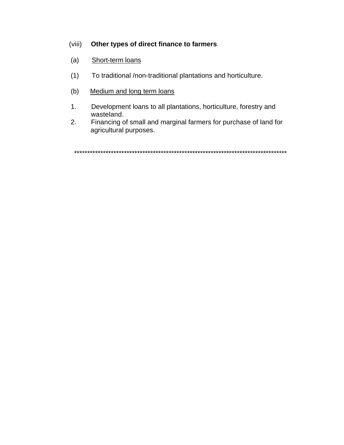## (viii) **Other types of direct finance to farmers**

- (a) Short-term loans
- (1) To traditional /non-traditional plantations and horticulture.
- (b) Medium and long term loans
- 1. Development loans to all plantations, horticulture, forestry and wasteland.<br>2. Financing c
- Financing of small and marginal farmers for purchase of land for agricultural purposes.

\*\*\*\*\*\*\*\*\*\*\*\*\*\*\*\*\*\*\*\*\*\*\*\*\*\*\*\*\*\*\*\*\*\*\*\*\*\*\*\*\*\*\*\*\*\*\*\*\*\*\*\*\*\*\*\*\*\*\*\*\*\*\*\*\*\*\*\*\*\*\*\*\*\*\*\*\*\*\*\*\*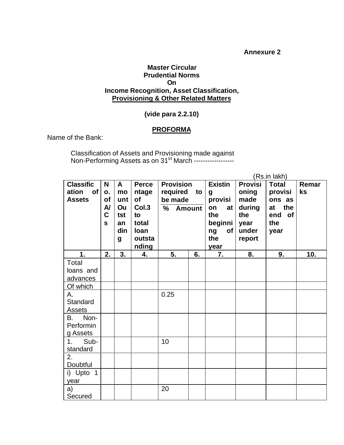#### **Annexure 2**

#### **Master Circular Prudential Norms On Income Recognition, Asset Classification, Provisioning & Other Related Matters**

### **(vide para 2.2.10)**

#### **PROFORMA**

Name of the Bank:

Classification of Assets and Provisioning made against Non-Performing Assets as on 31<sup>st</sup> March ------------------

|                                                               |                                                              |                                                          |                                                                                |                                                     |    |                                                                                                                     |                                                                             | (Rs.in lakh)                                                            |             |
|---------------------------------------------------------------|--------------------------------------------------------------|----------------------------------------------------------|--------------------------------------------------------------------------------|-----------------------------------------------------|----|---------------------------------------------------------------------------------------------------------------------|-----------------------------------------------------------------------------|-------------------------------------------------------------------------|-------------|
| <b>Classific</b><br>of <sub>l</sub><br>ation<br><b>Assets</b> | N<br>o.<br>of<br>$\mathsf{A}$<br>$\mathbf C$<br>$\mathbf{s}$ | $\mathsf{A}$<br>mo<br>unt<br>Ou<br>tst<br>an<br>din<br>g | <b>Perce</b><br>ntage<br>of<br>Col.3<br>to<br>total<br>loan<br>outsta<br>nding | <b>Provision</b><br>required<br>be made<br>% Amount | to | <b>Existin</b><br>$\boldsymbol{g}$<br>provisi<br>on<br>at <sub>l</sub><br>the<br>beginni<br>ng<br>of<br>the<br>year | <b>Provisi</b><br>oning<br>made<br>during<br>the<br>year<br>under<br>report | <b>Total</b><br>provisi<br>ons as<br>at the<br>end<br>of<br>the<br>year | Remar<br>ks |
| 1.                                                            | 2.                                                           | 3.                                                       | 4.                                                                             | 5.                                                  | 6. | 7.                                                                                                                  | 8.                                                                          | 9.                                                                      | 10.         |
| Total<br>loans and<br>advances                                |                                                              |                                                          |                                                                                |                                                     |    |                                                                                                                     |                                                                             |                                                                         |             |
| Of which<br>Α.<br>Standard<br>Assets                          |                                                              |                                                          |                                                                                | 0.25                                                |    |                                                                                                                     |                                                                             |                                                                         |             |
| B. Non-<br>Performin<br>g Assets                              |                                                              |                                                          |                                                                                |                                                     |    |                                                                                                                     |                                                                             |                                                                         |             |
| 1 <sub>1</sub><br>Sub-<br>standard                            |                                                              |                                                          |                                                                                | 10                                                  |    |                                                                                                                     |                                                                             |                                                                         |             |
| 2.<br>Doubtful                                                |                                                              |                                                          |                                                                                |                                                     |    |                                                                                                                     |                                                                             |                                                                         |             |
| i) Upto 1<br>year                                             |                                                              |                                                          |                                                                                |                                                     |    |                                                                                                                     |                                                                             |                                                                         |             |
| a)<br>Secured                                                 |                                                              |                                                          |                                                                                | 20                                                  |    |                                                                                                                     |                                                                             |                                                                         |             |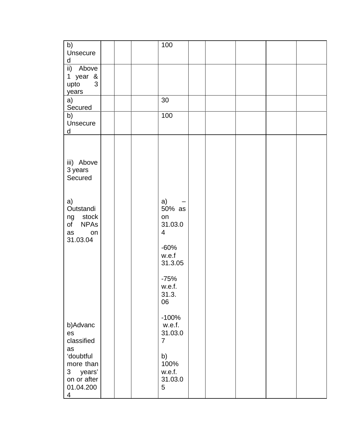| b)<br>Unsecure                                                                                   | 100                                 |                              |  |  |
|--------------------------------------------------------------------------------------------------|-------------------------------------|------------------------------|--|--|
| d<br>ii) Above<br>1 year &<br>3<br>upto                                                          |                                     |                              |  |  |
| years<br>a)                                                                                      | 30                                  |                              |  |  |
| Secured<br>b)<br>Unsecure                                                                        | 100                                 |                              |  |  |
| d                                                                                                |                                     |                              |  |  |
| iii) Above<br>3 years<br>Secured                                                                 |                                     |                              |  |  |
| a)<br>Outstandi<br>ng stock<br>of NPAs<br>as<br>on<br>31.03.04                                   | a)<br>on<br>$\overline{4}$<br>w.e.f | 50% as<br>31.03.0<br>$-60%$  |  |  |
|                                                                                                  | w.e.f.<br>31.3.<br>06               | 31.3.05<br>$-75%$            |  |  |
| b)Advanc<br>es<br>classified<br>as                                                               | $\overline{7}$                      | $-100%$<br>w.e.f.<br>31.03.0 |  |  |
| 'doubtful<br>more than<br>years'<br>3 <sup>7</sup><br>on or after<br>01.04.200<br>$\overline{4}$ | b)<br>w.e.f.<br>5                   | 100%<br>31.03.0              |  |  |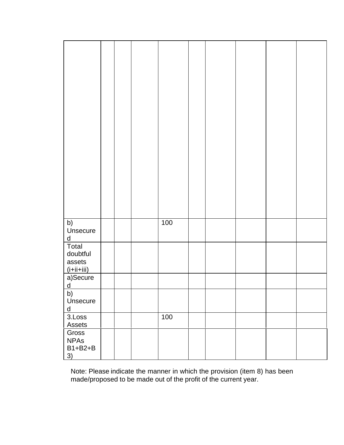| b)<br>Unsecure<br>$\sf d$                               |  | 100 |  |  |  |
|---------------------------------------------------------|--|-----|--|--|--|
| Total<br>doubtful<br>assets<br>$(i+ii+iii)$<br>a)Secure |  |     |  |  |  |
| $\mathsf{d}$<br>b)<br>Unsecure<br>$\overline{d}$        |  |     |  |  |  |
| 3.Loss<br><b>Assets</b>                                 |  | 100 |  |  |  |
| Gross<br><b>NPAs</b><br>$B1+B2+B$<br>$\overline{3}$     |  |     |  |  |  |

Note: Please indicate the manner in which the provision (item 8) has been made/proposed to be made out of the profit of the current year.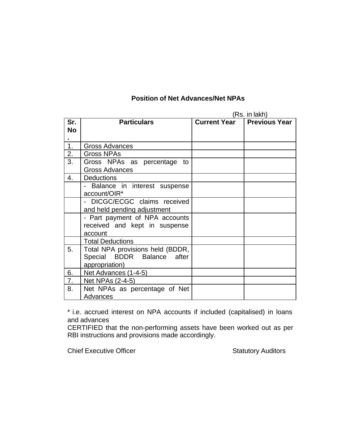## **Position of Net Advances/Net NPAs**

|           |                                  |                     | (Rs. in lakh)        |
|-----------|----------------------------------|---------------------|----------------------|
| Sr.       | <b>Particulars</b>               | <b>Current Year</b> | <b>Previous Year</b> |
| <b>No</b> |                                  |                     |                      |
|           |                                  |                     |                      |
| 1.        | Gross Advances                   |                     |                      |
| 2.        | <b>Gross NPAs</b>                |                     |                      |
| 3.        | Gross NPAs as percentage<br>to   |                     |                      |
|           | <b>Gross Advances</b>            |                     |                      |
| 4.        | <b>Deductions</b>                |                     |                      |
|           | Balance in interest suspense     |                     |                      |
|           | account/OIR*                     |                     |                      |
|           | - DICGC/ECGC claims received     |                     |                      |
|           | and held pending adjustment      |                     |                      |
|           | - Part payment of NPA accounts   |                     |                      |
|           | received and kept in suspense    |                     |                      |
|           | account                          |                     |                      |
|           | <b>Total Deductions</b>          |                     |                      |
| 5.        | Total NPA provisions held (BDDR, |                     |                      |
|           | Special BDDR Balance after       |                     |                      |
|           | appropriation)                   |                     |                      |
| 6.        | Net Advances (1-4-5)             |                     |                      |
| 7.        | Net NPAs (2-4-5)                 |                     |                      |
| 8.        | Net NPAs as percentage of Net    |                     |                      |
|           | Advances                         |                     |                      |

\* i.e. accrued interest on NPA accounts if included (capitalised) in loans and advances

CERTIFIED that the non-performing assets have been worked out as per RBI instructions and provisions made accordingly.

Chief Executive Officer Statutory Auditors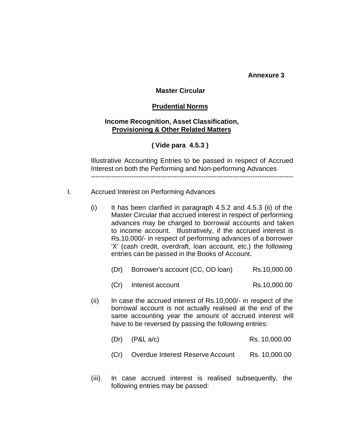**Annexure 3**

#### **Master Circular**

#### **Prudential Norms**

#### **Income Recognition, Asset Classification, Provisioning & Other Related Matters**

#### **( Vide para 4.5.3 )**

Illustrative Accounting Entries to be passed in respect of Accrued Interest on both the Performing and Non-performing Advances ------------------------------------------------------------------------------------------

- I. Accrued Interest on Performing Advances
	- $(i)$  It has been clarified in paragraph 4.5.2 and 4.5.3 (ii) of the Master Circular that accrued interest in respect of performing advances may be charged to borrowal accounts and taken to income account. Illustratively, if the accrued interest is Rs.10,000/- in respect of performing advances of a borrower 'X' (cash credit, overdraft, loan account, etc.) the following entries can be passed in the Books of Account.
		- (Dr) Borrower's account (CC, OD loan) Rs.10,000.00
		- (Cr) Interest account Rs.10,000.00
	- (ii) In case the accrued interest of Rs.10,000/- in respect of the borrowal account is not actually realised at the end of the same accounting year the amount of accrued interest will have to be reversed by passing the following entries:
		- (Dr) (P&L a/c) Rs. 10,000.00
		- (Cr) Overdue Interest Reserve Account Rs. 10,000.00
	- (iii) In case accrued interest is realised subsequently, the following entries may be passed: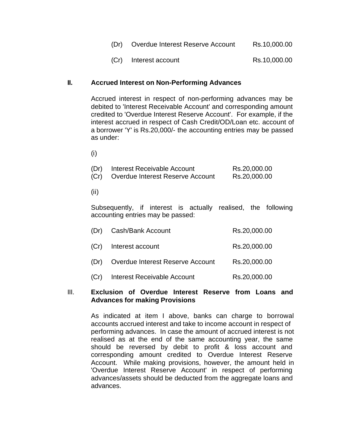(Cr) Interest account Rs.10,000.00

#### **II. Accrued Interest on Non-Performing Advances**

Accrued interest in respect of non-performing advances may be debited to 'Interest Receivable Account' and corresponding amount credited to 'Overdue Interest Reserve Account'. For example, if the interest accrued in respect of Cash Credit/OD/Loan etc. account of a borrower 'Y' is Rs.20,000/- the accounting entries may be passed as under:

(i)

| (Dr) | Interest Receivable Account      | Rs.20,000.00 |
|------|----------------------------------|--------------|
| (Cr) | Overdue Interest Reserve Account | Rs.20,000.00 |

(ii)

Subsequently, if interest is actually realised, the following accounting entries may be passed:

|      | (Dr) Cash/Bank Account             | Rs.20,000.00 |
|------|------------------------------------|--------------|
|      | (Cr) Interest account              | Rs.20,000.00 |
| (Dr) | Overdue Interest Reserve Account   | Rs.20,000.00 |
| (Cr) | <b>Interest Receivable Account</b> | Rs.20,000.00 |

#### III. **Exclusion of Overdue Interest Reserve from Loans and Advances for making Provisions**

As indicated at item I above, banks can charge to borrowal accounts accrued interest and take to income account in respect of performing advances. In case the amount of accrued interest is not realised as at the end of the same accounting year, the same should be reversed by debit to profit & loss account and corresponding amount credited to Overdue Interest Reserve Account. While making provisions, however, the amount held in 'Overdue Interest Reserve Account' in respect of performing advances/assets should be deducted from the aggregate loans and advances.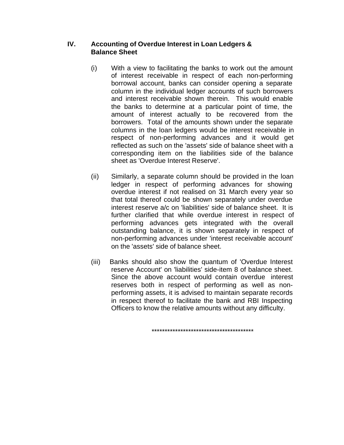## **IV. Accounting of Overdue Interest in Loan Ledgers & Balance Sheet**

- (i) With a view to facilitating the banks to work out the amount of interest receivable in respect of each non-performing borrowal account, banks can consider opening a separate column in the individual ledger accounts of such borrowers and interest receivable shown therein. This would enable the banks to determine at a particular point of time, the amount of interest actually to be recovered from the borrowers. Total of the amounts shown under the separate columns in the loan ledgers would be interest receivable in respect of non-performing advances and it would get reflected as such on the 'assets' side of balance sheet with a corresponding item on the liabilities side of the balance sheet as 'Overdue Interest Reserve'.
- (ii) Similarly, a separate column should be provided in the loan ledger in respect of performing advances for showing overdue interest if not realised on 31 March every year so that total thereof could be shown separately under overdue interest reserve a/c on 'liabilities' side of balance sheet. It is further clarified that while overdue interest in respect of performing advances gets integrated with the overall outstanding balance, it is shown separately in respect of non-performing advances under 'interest receivable account' on the 'assets' side of balance sheet.
- (iii) Banks should also show the quantum of 'Overdue Interest reserve Account' on 'liabilities' side-item 8 of balance sheet. Since the above account would contain overdue interest reserves both in respect of performing as well as nonperforming assets, it is advised to maintain separate records in respect thereof to facilitate the bank and RBI Inspecting Officers to know the relative amounts without any difficulty.

\*\*\*\*\*\*\*\*\*\*\*\*\*\*\*\*\*\*\*\*\*\*\*\*\*\*\*\*\*\*\*\*\*\*\*\*\*\*\*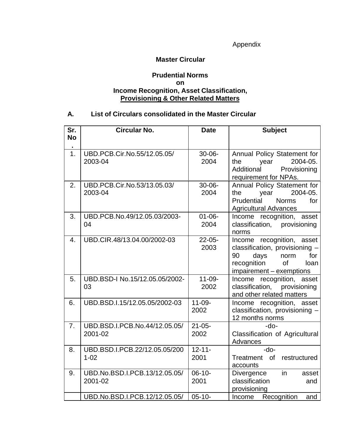Appendix

#### **Master Circular**

### **Prudential Norms on Income Recognition, Asset Classification, Provisioning & Other Related Matters**

## **A. List of Circulars consolidated in the Master Circular**

| Sr.<br><b>No</b> | <b>Circular No.</b>                       | <b>Date</b>         | <b>Subject</b>                                                                                                                                 |  |
|------------------|-------------------------------------------|---------------------|------------------------------------------------------------------------------------------------------------------------------------------------|--|
| 1 <sub>1</sub>   | UBD.PCB.Cir.No.55/12.05.05/<br>2003-04    | $30 - 06 -$<br>2004 | Annual Policy Statement for<br>2004-05.<br>the<br>year<br>Additional<br>Provisioning<br>requirement for NPAs.                                  |  |
| 2.               | UBD.PCB.Cir.No.53/13.05.03/<br>2003-04    | $30 - 06 -$<br>2004 | Annual Policy Statement for<br>2004-05.<br>year<br>the<br>Prudential<br><b>Norms</b><br>for<br><b>Agricultural Advances</b>                    |  |
| 3.               | UBD.PCB.No.49/12.05.03/2003-<br>04        | $01 - 06 -$<br>2004 | Income recognition, asset<br>classification, provisioning<br>norms                                                                             |  |
| 4.               | UBD.CIR.48/13.04.00/2002-03               | $22 - 05 -$<br>2003 | Income recognition, asset<br>classification, provisioning -<br>90<br>days<br>norm<br>for<br>recognition of<br>loan<br>impairement - exemptions |  |
| 5.               | UBD.BSD-I No.15/12.05.05/2002-<br>03      | $11 - 09 -$<br>2002 | Income recognition, asset<br>classification, provisioning<br>and other related matters                                                         |  |
| 6.               | UBD.BSD.I.15/12.05.05/2002-03             | $11 - 09 -$<br>2002 | Income recognition, asset<br>classification, provisioning -<br>12 months norms                                                                 |  |
| 7.               | UBD.BSD.I.PCB.No.44/12.05.05/<br>2001-02  | $21 - 05 -$<br>2002 | $-do-$<br>Classification of Agricultural<br>Advances                                                                                           |  |
| 8.               | UBD.BSD.I.PCB.22/12.05.05/200<br>$1 - 02$ | $12 - 11 -$<br>2001 | $-do-$<br>Treatment of<br>restructured<br>accounts                                                                                             |  |
| 9.               | UBD.No.BSD.I.PCB.13/12.05.05/<br>2001-02  | $06-10-$<br>2001    | in<br>Divergence<br>asset<br>classification<br>and<br>provisioning                                                                             |  |
|                  | UBD.No.BSD.I.PCB.12/12.05.05/             | $05-10-$            | Recognition<br>Income<br>and                                                                                                                   |  |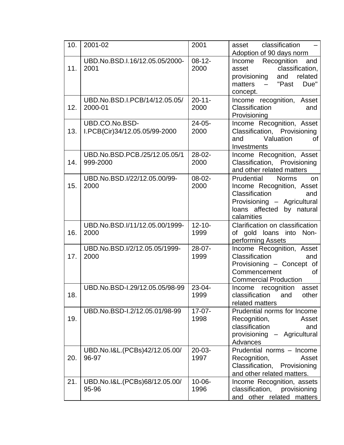| 10. | 2001-02                                         | 2001                | classification<br>asset                                                                                                                                          |
|-----|-------------------------------------------------|---------------------|------------------------------------------------------------------------------------------------------------------------------------------------------------------|
| 11. | UBD.No.BSD.I.16/12.05.05/2000-<br>2001          | $08 - 12 -$<br>2000 | Adoption of 90 days norm<br>Recognition<br>and<br>Income<br>classification,<br>asset<br>and<br>related<br>provisioning<br>Due"<br>matters $-$ "Past<br>concept.  |
| 12. | UBD.No.BSD.I.PCB/14/12.05.05/<br>2000-01        | $20 - 11 -$<br>2000 | Income recognition, Asset<br>Classification<br>and<br>Provisioning                                                                                               |
| 13. | UBD.CO.No.BSD-<br>I.PCB(Cir)34/12.05.05/99-2000 | $24 - 05 -$<br>2000 | Income Recognition, Asset<br>Classification, Provisioning<br>Valuation<br>and<br>0f<br>Investments                                                               |
| 14. | UBD.No.BSD.PCB./25/12.05.05/1<br>999-2000       | $28-02-$<br>2000    | Income Recognition, Asset<br>Classification, Provisioning<br>and other related matters                                                                           |
| 15. | UBD.No.BSD.I/22/12.05.00/99-<br>2000            | $08-02-$<br>2000    | Prudential<br><b>Norms</b><br>on<br>Income Recognition, Asset<br>Classification<br>and<br>Provisioning - Agricultural<br>loans affected by natural<br>calamities |
| 16. | UBD.No.BSD.I/11/12.05.00/1999-<br>2000          | $12 - 10 -$<br>1999 | Clarification on classification<br>of gold loans into Non-<br>performing Assets                                                                                  |
| 17. | UBD.No.BSD.I/2/12.05.05/1999-<br>2000           | $28-07-$<br>1999    | Income Recognition, Asset<br>Classification<br>and<br>Provisioning - Concept of<br>Commencement<br>0f<br><b>Commercial Production</b>                            |
| 18. | UBD.No.BSD-I.29/12.05.05/98-99                  | $23 - 04 -$<br>1999 | Income recognition asset<br>classification<br>other<br>and<br>related matters                                                                                    |
| 19. | UBD.No.BSD-I.2/12.05.01/98-99                   | $17-07-$<br>1998    | Prudential norms for Income<br>Recognition,<br>Asset<br>classification<br>and<br>provisioning - Agricultural<br>Advances                                         |
| 20. | UBD.No.I&L.(PCBs)42/12.05.00/<br>96-97          | $20 - 03 -$<br>1997 | Prudential norms - Income<br>Recognition,<br>Asset<br>Classification, Provisioning<br>and other related matters.                                                 |
| 21. | UBD.No.I&L.(PCBs)68/12.05.00/<br>95-96          | $10 - 06 -$<br>1996 | Income Recognition, assets<br>classification,<br>provisioning<br>and other related matters                                                                       |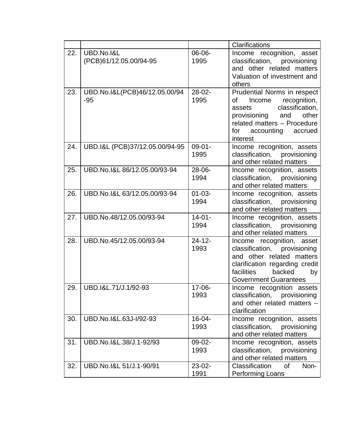|     |                                        |                     | Clarifications                                                                                                                                                                             |
|-----|----------------------------------------|---------------------|--------------------------------------------------------------------------------------------------------------------------------------------------------------------------------------------|
| 22. | UBD.No.I&L<br>(PCB)61/12.05.00/94-95   | 06-06-<br>1995      | Income recognition, asset<br>classification,<br>provisioning<br>and other related matters<br>Valuation of investment and<br>others                                                         |
| 23. | UBD.No.I&L(PCB)46/12.05.00/94<br>$-95$ | $28-02-$<br>1995    | Prudential Norms in respect<br>recognition,<br>Income<br>of<br>classification,<br>assets<br>provisioning and<br>other<br>related matters - Procedure<br>for accounting accrued<br>interest |
| 24. | UBD.I&L (PCB)37/12.05.00/94-95         | $09 - 01 -$<br>1995 | Income recognition, assets<br>classification, provisioning<br>and other related matters                                                                                                    |
| 25. | UBD.No.I&L 86/12.05.00/93-94           | $28 - 06 -$<br>1994 | Income recognition, assets<br>classification, provisioning<br>and other related matters                                                                                                    |
| 26. | UBD.No.I&L 63/12.05.00/93-94           | $01 - 03 -$<br>1994 | Income recognition, assets<br>classification, provisioning<br>and other related matters                                                                                                    |
| 27. | UBD.No.48/12.05.00/93-94               | $14 - 01 -$<br>1994 | Income recognition, assets<br>classification, provisioning<br>and other related matters                                                                                                    |
| 28. | UBD.No.45/12.05.00/93-94               | $24 - 12 -$<br>1993 | Income recognition, asset<br>classification, provisioning<br>and other related matters<br>clarification regarding credit<br>facilities<br>backed<br>by<br><b>Government Guarantees</b>     |
| 29. | UBD.I&L.71/J.1/92-93                   | $17 - 06 -$<br>1993 | Income recognition assets<br>classification,<br>provisioning<br>and other related matters -<br>clarification                                                                               |
| 30. | UBD.No.I&L.63J-I/92-93                 | $16 - 04 -$<br>1993 | Income recognition, assets<br>classification,<br>provisioning<br>and other related matters                                                                                                 |
| 31. | UBD.No.I&L.38/J.1-92/93                | 09-02-<br>1993      | Income recognition, assets<br>classification,<br>provisioning<br>and other related matters                                                                                                 |
| 32. | UBD.No.I&L 51/J.1-90/91                | $23-02-$<br>1991    | Classification<br><b>of</b><br>Non-<br>Performing Loans                                                                                                                                    |